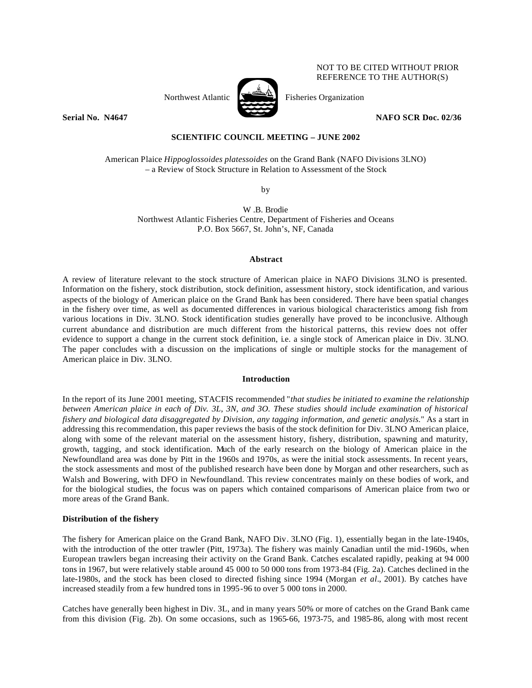

NOT TO BE CITED WITHOUT PRIOR REFERENCE TO THE AUTHOR(S)

**Serial No. N4647 NAFO SCR Doc. 02/36** 

# **SCIENTIFIC COUNCIL MEETING – JUNE 2002**

American Plaice *Hippoglossoides platessoides* on the Grand Bank (NAFO Divisions 3LNO) – a Review of Stock Structure in Relation to Assessment of the Stock

by

W .B. Brodie Northwest Atlantic Fisheries Centre, Department of Fisheries and Oceans P.O. Box 5667, St. John's, NF, Canada

## **Abstract**

A review of literature relevant to the stock structure of American plaice in NAFO Divisions 3LNO is presented. Information on the fishery, stock distribution, stock definition, assessment history, stock identification, and various aspects of the biology of American plaice on the Grand Bank has been considered. There have been spatial changes in the fishery over time, as well as documented differences in various biological characteristics among fish from various locations in Div. 3LNO. Stock identification studies generally have proved to be inconclusive. Although current abundance and distribution are much different from the historical patterns, this review does not offer evidence to support a change in the current stock definition, i.e. a single stock of American plaice in Div. 3LNO. The paper concludes with a discussion on the implications of single or multiple stocks for the management of American plaice in Div. 3LNO.

#### **Introduction**

In the report of its June 2001 meeting, STACFIS recommended "*that studies be initiated to examine the relationship between American plaice in each of Div. 3L, 3N, and 3O. These studies should include examination of historical fishery and biological data disaggregated by Division, any tagging information, and genetic analysis.*" As a start in addressing this recommendation, this paper reviews the basis of the stock definition for Div. 3LNO American plaice, along with some of the relevant material on the assessment history, fishery, distribution, spawning and maturity, growth, tagging, and stock identification. Much of the early research on the biology of American plaice in the Newfoundland area was done by Pitt in the 1960s and 1970s, as were the initial stock assessments. In recent years, the stock assessments and most of the published research have been done by Morgan and other researchers, such as Walsh and Bowering, with DFO in Newfoundland. This review concentrates mainly on these bodies of work, and for the biological studies, the focus was on papers which contained comparisons of American plaice from two or more areas of the Grand Bank.

#### **Distribution of the fishery**

The fishery for American plaice on the Grand Bank, NAFO Div. 3LNO (Fig. 1), essentially began in the late-1940s, with the introduction of the otter trawler (Pitt, 1973a). The fishery was mainly Canadian until the mid-1960s, when European trawlers began increasing their activity on the Grand Bank. Catches escalated rapidly, peaking at 94 000 tons in 1967, but were relatively stable around 45 000 to 50 000 tons from 1973-84 (Fig. 2a). Catches declined in the late-1980s, and the stock has been closed to directed fishing since 1994 (Morgan *et al*., 2001). By catches have increased steadily from a few hundred tons in 1995-96 to over 5 000 tons in 2000.

Catches have generally been highest in Div. 3L, and in many years 50% or more of catches on the Grand Bank came from this division (Fig. 2b). On some occasions, such as 1965-66, 1973-75, and 1985-86, along with most recent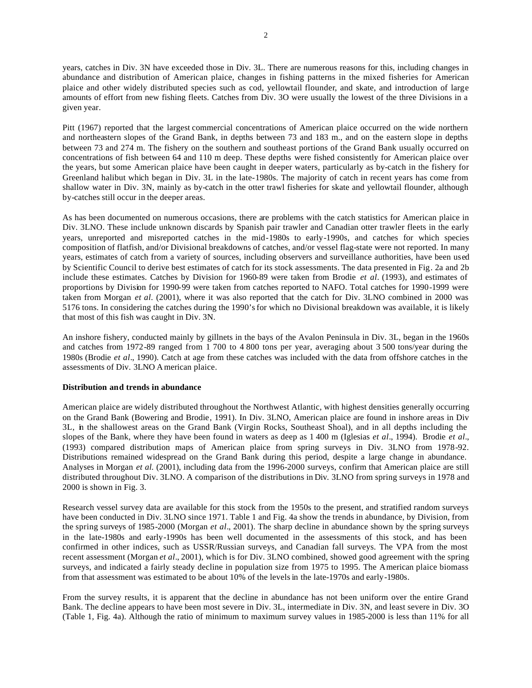years, catches in Div. 3N have exceeded those in Div. 3L. There are numerous reasons for this, including changes in abundance and distribution of American plaice, changes in fishing patterns in the mixed fisheries for American plaice and other widely distributed species such as cod, yellowtail flounder, and skate, and introduction of large amounts of effort from new fishing fleets. Catches from Div. 3O were usually the lowest of the three Divisions in a given year.

Pitt (1967) reported that the largest commercial concentrations of American plaice occurred on the wide northern and northeastern slopes of the Grand Bank, in depths between 73 and 183 m., and on the eastern slope in depths between 73 and 274 m. The fishery on the southern and southeast portions of the Grand Bank usually occurred on concentrations of fish between 64 and 110 m deep. These depths were fished consistently for American plaice over the years, but some American plaice have been caught in deeper waters, particularly as by-catch in the fishery for Greenland halibut which began in Div. 3L in the late-1980s. The majority of catch in recent years has come from shallow water in Div. 3N, mainly as by-catch in the otter trawl fisheries for skate and yellowtail flounder, although by-catches still occur in the deeper areas.

As has been documented on numerous occasions, there are problems with the catch statistics for American plaice in Div. 3LNO. These include unknown discards by Spanish pair trawler and Canadian otter trawler fleets in the early years, unreported and misreported catches in the mid-1980s to early-1990s, and catches for which species composition of flatfish, and/or Divisional breakdowns of catches, and/or vessel flag-state were not reported. In many years, estimates of catch from a variety of sources, including observers and surveillance authorities, have been used by Scientific Council to derive best estimates of catch for its stock assessments. The data presented in Fig. 2a and 2b include these estimates. Catches by Division for 1960-89 were taken from Brodie *et al*. (1993), and estimates of proportions by Division for 1990-99 were taken from catches reported to NAFO. Total catches for 1990-1999 were taken from Morgan *et al.* (2001), where it was also reported that the catch for Div. 3LNO combined in 2000 was 5176 tons. In considering the catches during the 1990's for which no Divisional breakdown was available, it is likely that most of this fish was caught in Div. 3N.

An inshore fishery, conducted mainly by gillnets in the bays of the Avalon Peninsula in Div. 3L, began in the 1960s and catches from 1972-89 ranged from 1 700 to 4 800 tons per year, averaging about 3 500 tons/year during the 1980s (Brodie *et al*., 1990). Catch at age from these catches was included with the data from offshore catches in the assessments of Div. 3LNO American plaice.

# **Distribution and trends in abundance**

American plaice are widely distributed throughout the Northwest Atlantic, with highest densities generally occurring on the Grand Bank (Bowering and Brodie, 1991). In Div. 3LNO, American plaice are found in inshore areas in Div 3L, in the shallowest areas on the Grand Bank (Virgin Rocks, Southeast Shoal), and in all depths including the slopes of the Bank, where they have been found in waters as deep as 1 400 m (Iglesias *et al*., 1994). Brodie *et al*., (1993) compared distribution maps of American plaice from spring surveys in Div. 3LNO from 1978-92. Distributions remained widespread on the Grand Bank during this period, despite a large change in abundance. Analyses in Morgan *et al.* (2001), including data from the 1996-2000 surveys, confirm that American plaice are still distributed throughout Div. 3LNO. A comparison of the distributions in Div. 3LNO from spring surveys in 1978 and 2000 is shown in Fig. 3.

Research vessel survey data are available for this stock from the 1950s to the present, and stratified random surveys have been conducted in Div. 3LNO since 1971. Table 1 and Fig. 4a show the trends in abundance, by Division, from the spring surveys of 1985-2000 (Morgan *et al*., 2001). The sharp decline in abundance shown by the spring surveys in the late-1980s and early-1990s has been well documented in the assessments of this stock, and has been confirmed in other indices, such as USSR/Russian surveys, and Canadian fall surveys. The VPA from the most recent assessment (Morgan *et al*., 2001), which is for Div. 3LNO combined, showed good agreement with the spring surveys, and indicated a fairly steady decline in population size from 1975 to 1995. The American plaice biomass from that assessment was estimated to be about 10% of the levels in the late-1970s and early-1980s.

From the survey results, it is apparent that the decline in abundance has not been uniform over the entire Grand Bank. The decline appears to have been most severe in Div. 3L, intermediate in Div. 3N, and least severe in Div. 3O (Table 1, Fig. 4a). Although the ratio of minimum to maximum survey values in 1985-2000 is less than 11% for all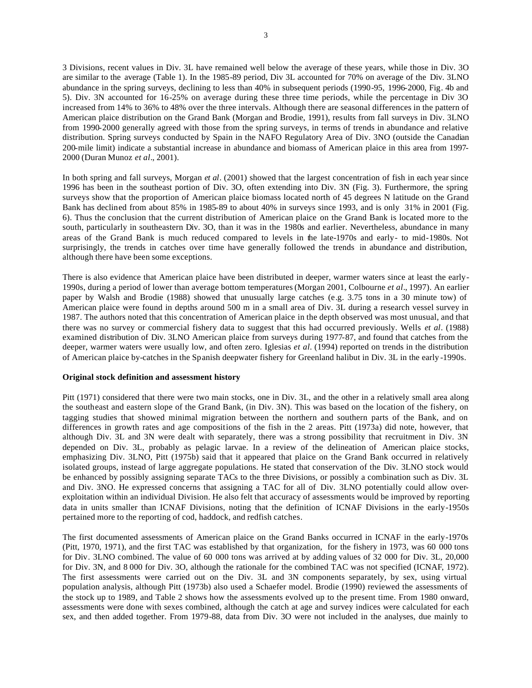3 Divisions, recent values in Div. 3L have remained well below the average of these years, while those in Div. 3O are similar to the average (Table 1). In the 1985-89 period, Div 3L accounted for 70% on average of the Div. 3LNO abundance in the spring surveys, declining to less than 40% in subsequent periods (1990-95, 1996-2000, Fig. 4b and 5). Div. 3N accounted for 16-25% on average during these three time periods, while the percentage in Div 3O increased from 14% to 36% to 48% over the three intervals. Although there are seasonal differences in the pattern of American plaice distribution on the Grand Bank (Morgan and Brodie, 1991), results from fall surveys in Div. 3LNO from 1990-2000 generally agreed with those from the spring surveys, in terms of trends in abundance and relative distribution. Spring surveys conducted by Spain in the NAFO Regulatory Area of Div. 3NO (outside the Canadian 200-mile limit) indicate a substantial increase in abundance and biomass of American plaice in this area from 1997- 2000 (Duran Munoz *et al*., 2001).

In both spring and fall surveys, Morgan *et al*. (2001) showed that the largest concentration of fish in each year since 1996 has been in the southeast portion of Div. 3O, often extending into Div. 3N (Fig. 3). Furthermore, the spring surveys show that the proportion of American plaice biomass located north of 45 degrees N latitude on the Grand Bank has declined from about 85% in 1985-89 to about 40% in surveys since 1993, and is only 31% in 2001 (Fig. 6). Thus the conclusion that the current distribution of American plaice on the Grand Bank is located more to the south, particularly in southeastern Div. 3O, than it was in the 1980s and earlier. Nevertheless, abundance in many areas of the Grand Bank is much reduced compared to levels in the late-1970s and early- to mid-1980s. Not surprisingly, the trends in catches over time have generally followed the trends in abundance and distribution, although there have been some exceptions.

There is also evidence that American plaice have been distributed in deeper, warmer waters since at least the early-1990s, during a period of lower than average bottom temperatures (Morgan 2001, Colbourne *et al*., 1997). An earlier paper by Walsh and Brodie (1988) showed that unusually large catches (e.g. 3.75 tons in a 30 minute tow) of American plaice were found in depths around 500 m in a small area of Div. 3L during a research vessel survey in 1987. The authors noted that this concentration of American plaice in the depth observed was most unusual, and that there was no survey or commercial fishery data to suggest that this had occurred previously. Wells *et al.* (1988) examined distribution of Div. 3LNO American plaice from surveys during 1977-87, and found that catches from the deeper, warmer waters were usually low, and often zero. Iglesias *et al.* (1994) reported on trends in the distribution of American plaice by-catches in the Spanish deepwater fishery for Greenland halibut in Div. 3L in the early -1990s.

## **Original stock definition and assessment history**

Pitt (1971) considered that there were two main stocks, one in Div. 3L, and the other in a relatively small area along the southeast and eastern slope of the Grand Bank, (in Div. 3N). This was based on the location of the fishery, on tagging studies that showed minimal migration between the northern and southern parts of the Bank, and on differences in growth rates and age compositions of the fish in the 2 areas. Pitt (1973a) did note, however, that although Div. 3L and 3N were dealt with separately, there was a strong possibility that recruitment in Div. 3N depended on Div. 3L, probably as pelagic larvae. In a review of the delineation of American plaice stocks, emphasizing Div. 3LNO, Pitt (1975b) said that it appeared that plaice on the Grand Bank occurred in relatively isolated groups, instead of large aggregate populations. He stated that conservation of the Div. 3LNO stock would be enhanced by possibly assigning separate TACs to the three Divisions, or possibly a combination such as Div. 3L and Div. 3NO. He expressed concerns that assigning a TAC for all of Div. 3LNO potentially could allow overexploitation within an individual Division. He also felt that accuracy of assessments would be improved by reporting data in units smaller than ICNAF Divisions, noting that the definition of ICNAF Divisions in the early-1950s pertained more to the reporting of cod, haddock, and redfish catches.

The first documented assessments of American plaice on the Grand Banks occurred in ICNAF in the early-1970s (Pitt, 1970, 1971), and the first TAC was established by that organization, for the fishery in 1973, was 60 000 tons for Div. 3LNO combined. The value of 60 000 tons was arrived at by adding values of 32 000 for Div. 3L, 20,000 for Div. 3N, and 8 000 for Div. 3O, although the rationale for the combined TAC was not specified (ICNAF, 1972). The first assessments were carried out on the Div. 3L and 3N components separately, by sex, using virtual population analysis, although Pitt (1973b) also used a Schaefer model. Brodie (1990) reviewed the assessments of the stock up to 1989, and Table 2 shows how the assessments evolved up to the present time. From 1980 onward, assessments were done with sexes combined, although the catch at age and survey indices were calculated for each sex, and then added together. From 1979-88, data from Div. 3O were not included in the analyses, due mainly to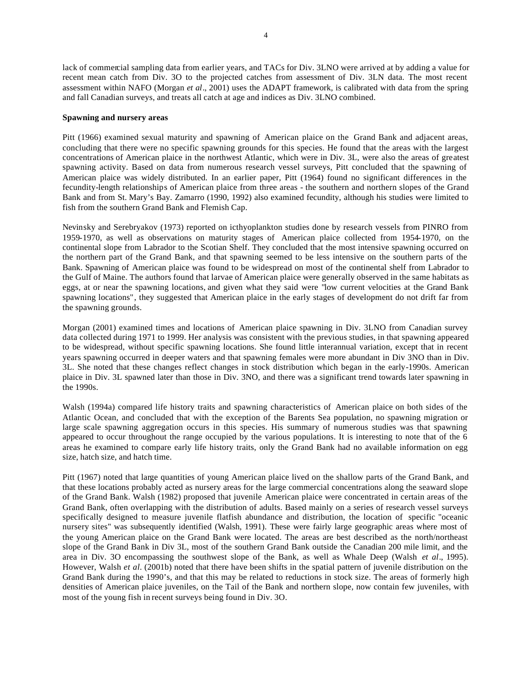lack of commercial sampling data from earlier years, and TACs for Div. 3LNO were arrived at by adding a value for recent mean catch from Div. 3O to the projected catches from assessment of Div. 3LN data. The most recent assessment within NAFO (Morgan *et al*., 2001) uses the ADAPT framework, is calibrated with data from the spring and fall Canadian surveys, and treats all catch at age and indices as Div. 3LNO combined.

### **Spawning and nursery areas**

Pitt (1966) examined sexual maturity and spawning of American plaice on the Grand Bank and adjacent areas, concluding that there were no specific spawning grounds for this species. He found that the areas with the largest concentrations of American plaice in the northwest Atlantic, which were in Div. 3L, were also the areas of greatest spawning activity. Based on data from numerous research vessel surveys, Pitt concluded that the spawning of American plaice was widely distributed. In an earlier paper, Pitt (1964) found no significant differences in the fecundity-length relationships of American plaice from three areas - the southern and northern slopes of the Grand Bank and from St. Mary's Bay. Zamarro (1990, 1992) also examined fecundity, although his studies were limited to fish from the southern Grand Bank and Flemish Cap.

Nevinsky and Serebryakov (1973) reported on icthyoplankton studies done by research vessels from PINRO from 1959-1970, as well as observations on maturity stages of American plaice collected from 1954-1970, on the continental slope from Labrador to the Scotian Shelf. They concluded that the most intensive spawning occurred on the northern part of the Grand Bank, and that spawning seemed to be less intensive on the southern parts of the Bank. Spawning of American plaice was found to be widespread on most of the continental shelf from Labrador to the Gulf of Maine. The authors found that larvae of American plaice were generally observed in the same habitats as eggs, at or near the spawning locations, and given what they said were "low current velocities at the Grand Bank spawning locations", they suggested that American plaice in the early stages of development do not drift far from the spawning grounds.

Morgan (2001) examined times and locations of American plaice spawning in Div. 3LNO from Canadian survey data collected during 1971 to 1999. Her analysis was consistent with the previous studies, in that spawning appeared to be widespread, without specific spawning locations. She found little interannual variation, except that in recent years spawning occurred in deeper waters and that spawning females were more abundant in Div 3NO than in Div. 3L. She noted that these changes reflect changes in stock distribution which began in the early-1990s. American plaice in Div. 3L spawned later than those in Div. 3NO, and there was a significant trend towards later spawning in the 1990s.

Walsh (1994a) compared life history traits and spawning characteristics of American plaice on both sides of the Atlantic Ocean, and concluded that with the exception of the Barents Sea population, no spawning migration or large scale spawning aggregation occurs in this species. His summary of numerous studies was that spawning appeared to occur throughout the range occupied by the various populations. It is interesting to note that of the 6 areas he examined to compare early life history traits, only the Grand Bank had no available information on egg size, hatch size, and hatch time.

Pitt (1967) noted that large quantities of young American plaice lived on the shallow parts of the Grand Bank, and that these locations probably acted as nursery areas for the large commercial concentrations along the seaward slope of the Grand Bank. Walsh (1982) proposed that juvenile American plaice were concentrated in certain areas of the Grand Bank, often overlapping with the distribution of adults. Based mainly on a series of research vessel surveys specifically designed to measure juvenile flatfish abundance and distribution, the location of specific "oceanic nursery sites" was subsequently identified (Walsh, 1991). These were fairly large geographic areas where most of the young American plaice on the Grand Bank were located. The areas are best described as the north/northeast slope of the Grand Bank in Div 3L, most of the southern Grand Bank outside the Canadian 200 mile limit, and the area in Div. 3O encompassing the southwest slope of the Bank, as well as Whale Deep (Walsh *et al*., 1995). However, Walsh *et al.* (2001b) noted that there have been shifts in the spatial pattern of juvenile distribution on the Grand Bank during the 1990's, and that this may be related to reductions in stock size. The areas of formerly high densities of American plaice juveniles, on the Tail of the Bank and northern slope, now contain few juveniles, with most of the young fish in recent surveys being found in Div. 3O.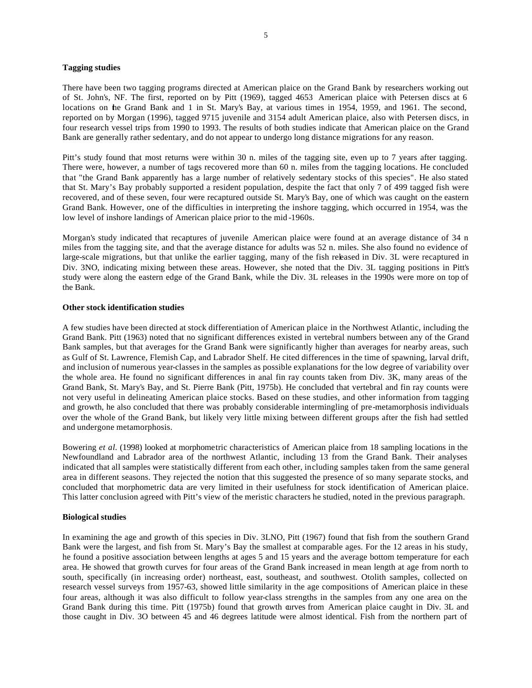## **Tagging studies**

There have been two tagging programs directed at American plaice on the Grand Bank by researchers working out of St. John's, NF. The first, reported on by Pitt (1969), tagged 4653 American plaice with Petersen discs at 6 locations on the Grand Bank and 1 in St. Mary's Bay, at various times in 1954, 1959, and 1961. The second, reported on by Morgan (1996), tagged 9715 juvenile and 3154 adult American plaice, also with Petersen discs, in four research vessel trips from 1990 to 1993. The results of both studies indicate that American plaice on the Grand Bank are generally rather sedentary, and do not appear to undergo long distance migrations for any reason.

Pitt's study found that most returns were within 30 n. miles of the tagging site, even up to 7 years after tagging. There were, however, a number of tags recovered more than 60 n. miles from the tagging locations. He concluded that "the Grand Bank apparently has a large number of relatively sedentary stocks of this species". He also stated that St. Mary's Bay probably supported a resident population, despite the fact that only 7 of 499 tagged fish were recovered, and of these seven, four were recaptured outside St. Mary's Bay, one of which was caught on the eastern Grand Bank. However, one of the difficulties in interpreting the inshore tagging, which occurred in 1954, was the low level of inshore landings of American plaice prior to the mid -1960s.

Morgan's study indicated that recaptures of juvenile American plaice were found at an average distance of 34 n miles from the tagging site, and that the average distance for adults was 52 n. miles. She also found no evidence of large-scale migrations, but that unlike the earlier tagging, many of the fish released in Div. 3L were recaptured in Div. 3NO, indicating mixing between these areas. However, she noted that the Div. 3L tagging positions in Pitt's study were along the eastern edge of the Grand Bank, while the Div. 3L releases in the 1990s were more on top of the Bank.

## **Other stock identification studies**

A few studies have been directed at stock differentiation of American plaice in the Northwest Atlantic, including the Grand Bank. Pitt (1963) noted that no significant differences existed in vertebral numbers between any of the Grand Bank samples, but that averages for the Grand Bank were significantly higher than averages for nearby areas, such as Gulf of St. Lawrence, Flemish Cap, and Labrador Shelf. He cited differences in the time of spawning, larval drift, and inclusion of numerous year-classes in the samples as possible explanations for the low degree of variability over the whole area. He found no significant differences in anal fin ray counts taken from Div. 3K, many areas of the Grand Bank, St. Mary's Bay, and St. Pierre Bank (Pitt, 1975b). He concluded that vertebral and fin ray counts were not very useful in delineating American plaice stocks. Based on these studies, and other information from tagging and growth, he also concluded that there was probably considerable intermingling of pre-metamorphosis individuals over the whole of the Grand Bank, but likely very little mixing between different groups after the fish had settled and undergone metamorphosis.

Bowering *et al.* (1998) looked at morphometric characteristics of American plaice from 18 sampling locations in the Newfoundland and Labrador area of the northwest Atlantic, including 13 from the Grand Bank. Their analyses indicated that all samples were statistically different from each other, including samples taken from the same general area in different seasons. They rejected the notion that this suggested the presence of so many separate stocks, and concluded that morphometric data are very limited in their usefulness for stock identification of American plaice. This latter conclusion agreed with Pitt's view of the meristic characters he studied, noted in the previous paragraph.

#### **Biological studies**

In examining the age and growth of this species in Div. 3LNO, Pitt (1967) found that fish from the southern Grand Bank were the largest, and fish from St. Mary's Bay the smallest at comparable ages. For the 12 areas in his study, he found a positive association between lengths at ages 5 and 15 years and the average bottom temperature for each area. He showed that growth curves for four areas of the Grand Bank increased in mean length at age from north to south, specifically (in increasing order) northeast, east, southeast, and southwest. Otolith samples, collected on research vessel surveys from 1957-63, showed little similarity in the age compositions of American plaice in these four areas, although it was also difficult to follow year-class strengths in the samples from any one area on the Grand Bank during this time. Pitt (1975b) found that growth curves from American plaice caught in Div. 3L and those caught in Div. 3O between 45 and 46 degrees latitude were almost identical. Fish from the northern part of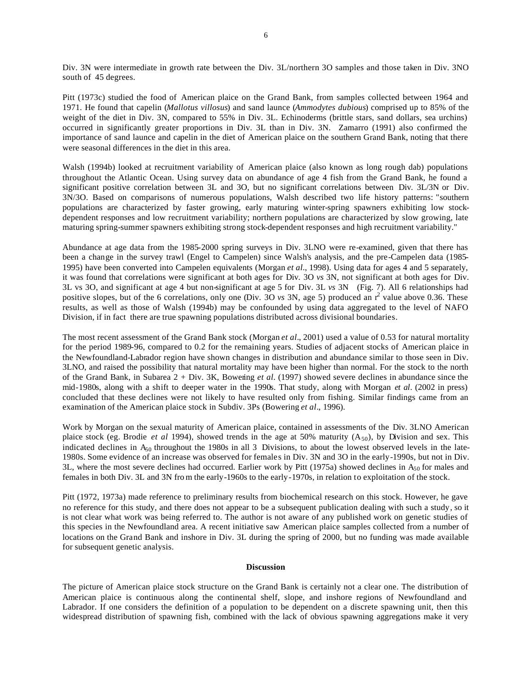Div. 3N were intermediate in growth rate between the Div. 3L/northern 3O samples and those taken in Div. 3NO south of 45 degrees.

Pitt (1973c) studied the food of American plaice on the Grand Bank, from samples collected between 1964 and 1971. He found that capelin (*Mallotus villosus*) and sand launce (*Ammodytes dubious*) comprised up to 85% of the weight of the diet in Div. 3N, compared to 55% in Div. 3L. Echinoderms (brittle stars, sand dollars, sea urchins) occurred in significantly greater proportions in Div. 3L than in Div. 3N. Zamarro (1991) also confirmed the importance of sand launce and capelin in the diet of American plaice on the southern Grand Bank, noting that there were seasonal differences in the diet in this area.

Walsh (1994b) looked at recruitment variability of American plaice (also known as long rough dab) populations throughout the Atlantic Ocean. Using survey data on abundance of age 4 fish from the Grand Bank, he found a significant positive correlation between 3L and 3O, but no significant correlations between Div. 3L/3N or Div. 3N/3O. Based on comparisons of numerous populations, Walsh described two life history patterns: "southern populations are characterized by faster growing, early maturing winter-spring spawners exhibiting low stockdependent responses and low recruitment variability; northern populations are characterized by slow growing, late maturing spring-summer spawners exhibiting strong stock-dependent responses and high recruitment variability."

Abundance at age data from the 1985-2000 spring surveys in Div. 3LNO were re-examined, given that there has been a change in the survey trawl (Engel to Campelen) since Walsh's analysis, and the pre-Campelen data (1985- 1995) have been converted into Campelen equivalents (Morgan *et al.*, 1998). Using data for ages 4 and 5 separately, it was found that correlations were significant at both ages for Div. 3O *vs* 3N, not significant at both ages for Div. 3L vs 3O, and significant at age 4 but non-significant at age 5 for Div. 3L *vs* 3N (Fig. 7). All 6 relationships had positive slopes, but of the 6 correlations, only one (Div.  $30 \text{ vs } 3\text{N}$ , age 5) produced an  $r^2$  value above 0.36. These results, as well as those of Walsh (1994b) may be confounded by using data aggregated to the level of NAFO Division, if in fact there are true spawning populations distributed across divisional boundaries.

The most recent assessment of the Grand Bank stock (Morgan *et al*., 2001) used a value of 0.53 for natural mortality for the period 1989-96, compared to 0.2 for the remaining years. Studies of adjacent stocks of American plaice in the Newfoundland-Labrador region have shown changes in distribution and abundance similar to those seen in Div. 3LNO, and raised the possibility that natural mortality may have been higher than normal. For the stock to the north of the Grand Bank, in Subarea 2 + Div. 3K, Bowering *et al.* (1997) showed severe declines in abundance since the mid-1980s, along with a shift to deeper water in the 1990s. That study, along with Morgan *et al.* (2002 in press) concluded that these declines were not likely to have resulted only from fishing. Similar findings came from an examination of the American plaice stock in Subdiv. 3Ps (Bowering *et al*., 1996).

Work by Morgan on the sexual maturity of American plaice, contained in assessments of the Div. 3LNO American plaice stock (eg. Brodie *et al* 1994), showed trends in the age at 50% maturity (A50), by Division and sex. This indicated declines in  $A_{50}$  throughout the 1980s in all 3 Divisions, to about the lowest observed levels in the late-1980s. Some evidence of an increase was observed for females in Div. 3N and 3O in the early-1990s, but not in Div. 3L, where the most severe declines had occurred. Earlier work by Pitt (1975a) showed declines in  $A_{50}$  for males and females in both Div. 3L and 3N fro m the early-1960s to the early-1970s, in relation to exploitation of the stock.

Pitt (1972, 1973a) made reference to preliminary results from biochemical research on this stock. However, he gave no reference for this study, and there does not appear to be a subsequent publication dealing with such a study, so it is not clear what work was being referred to. The author is not aware of any published work on genetic studies of this species in the Newfoundland area. A recent initiative saw American plaice samples collected from a number of locations on the Grand Bank and inshore in Div. 3L during the spring of 2000, but no funding was made available for subsequent genetic analysis.

#### **Discussion**

The picture of American plaice stock structure on the Grand Bank is certainly not a clear one. The distribution of American plaice is continuous along the continental shelf, slope, and inshore regions of Newfoundland and Labrador. If one considers the definition of a population to be dependent on a discrete spawning unit, then this widespread distribution of spawning fish, combined with the lack of obvious spawning aggregations make it very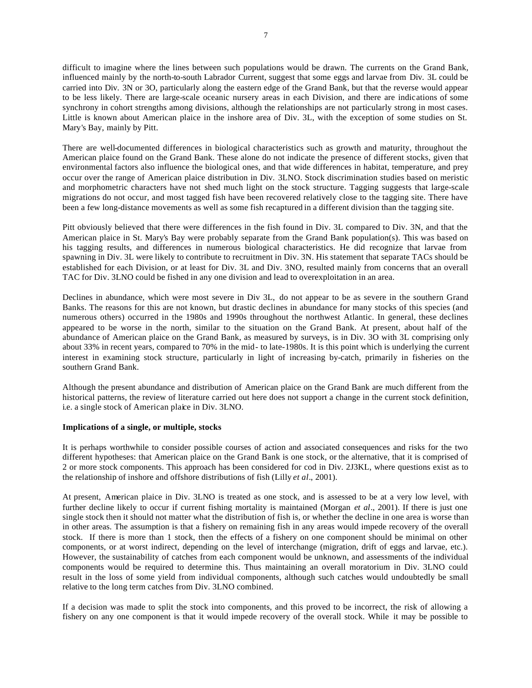difficult to imagine where the lines between such populations would be drawn. The currents on the Grand Bank, influenced mainly by the north-to-south Labrador Current, suggest that some eggs and larvae from Div. 3L could be carried into Div. 3N or 3O, particularly along the eastern edge of the Grand Bank, but that the reverse would appear to be less likely. There are large-scale oceanic nursery areas in each Division, and there are indications of some synchrony in cohort strengths among divisions, although the relationships are not particularly strong in most cases. Little is known about American plaice in the inshore area of Div. 3L, with the exception of some studies on St. Mary's Bay, mainly by Pitt.

There are well-documented differences in biological characteristics such as growth and maturity, throughout the American plaice found on the Grand Bank. These alone do not indicate the presence of different stocks, given that environmental factors also influence the biological ones, and that wide differences in habitat, temperature, and prey occur over the range of American plaice distribution in Div. 3LNO. Stock discrimination studies based on meristic and morphometric characters have not shed much light on the stock structure. Tagging suggests that large-scale migrations do not occur, and most tagged fish have been recovered relatively close to the tagging site. There have been a few long-distance movements as well as some fish recaptured in a different division than the tagging site.

Pitt obviously believed that there were differences in the fish found in Div. 3L compared to Div. 3N, and that the American plaice in St. Mary's Bay were probably separate from the Grand Bank population(s). This was based on his tagging results, and differences in numerous biological characteristics. He did recognize that larvae from spawning in Div. 3L were likely to contribute to recruitment in Div. 3N. His statement that separate TACs should be established for each Division, or at least for Div. 3L and Div. 3NO, resulted mainly from concerns that an overall TAC for Div. 3LNO could be fished in any one division and lead to overexploitation in an area.

Declines in abundance, which were most severe in Div 3L, do not appear to be as severe in the southern Grand Banks. The reasons for this are not known, but drastic declines in abundance for many stocks of this species (and numerous others) occurred in the 1980s and 1990s throughout the northwest Atlantic. In general, these declines appeared to be worse in the north, similar to the situation on the Grand Bank. At present, about half of the abundance of American plaice on the Grand Bank, as measured by surveys, is in Div. 3O with 3L comprising only about 33% in recent years, compared to 70% in the mid- to late-1980s. It is this point which is underlying the current interest in examining stock structure, particularly in light of increasing by-catch, primarily in fisheries on the southern Grand Bank.

Although the present abundance and distribution of American plaice on the Grand Bank are much different from the historical patterns, the review of literature carried out here does not support a change in the current stock definition, i.e. a single stock of American plaice in Div. 3LNO.

#### **Implications of a single, or multiple, stocks**

It is perhaps worthwhile to consider possible courses of action and associated consequences and risks for the two different hypotheses: that American plaice on the Grand Bank is one stock, or the alternative, that it is comprised of 2 or more stock components. This approach has been considered for cod in Div. 2J3KL, where questions exist as to the relationship of inshore and offshore distributions of fish (Lilly *et al*., 2001).

At present, American plaice in Div. 3LNO is treated as one stock, and is assessed to be at a very low level, with further decline likely to occur if current fishing mortality is maintained (Morgan *et al*., 2001). If there is just one single stock then it should not matter what the distribution of fish is, or whether the decline in one area is worse than in other areas. The assumption is that a fishery on remaining fish in any areas would impede recovery of the overall stock. If there is more than 1 stock, then the effects of a fishery on one component should be minimal on other components, or at worst indirect, depending on the level of interchange (migration, drift of eggs and larvae, etc.). However, the sustainability of catches from each component would be unknown, and assessments of the individual components would be required to determine this. Thus maintaining an overall moratorium in Div. 3LNO could result in the loss of some yield from individual components, although such catches would undoubtedly be small relative to the long term catches from Div. 3LNO combined.

If a decision was made to split the stock into components, and this proved to be incorrect, the risk of allowing a fishery on any one component is that it would impede recovery of the overall stock. While it may be possible to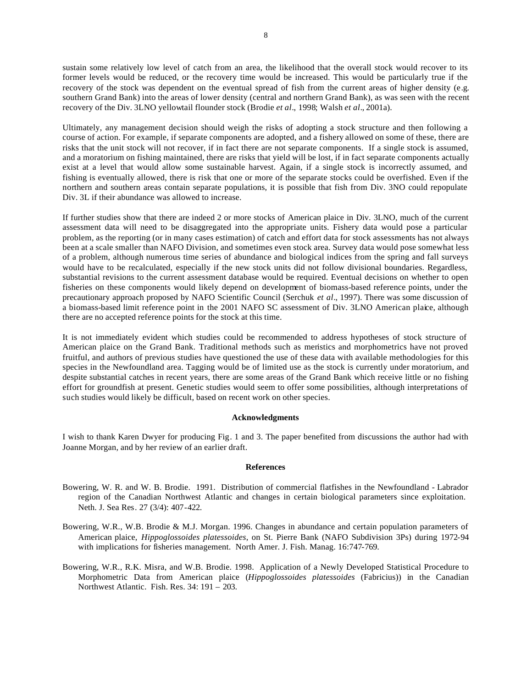sustain some relatively low level of catch from an area, the likelihood that the overall stock would recover to its former levels would be reduced, or the recovery time would be increased. This would be particularly true if the recovery of the stock was dependent on the eventual spread of fish from the current areas of higher density (e.g. southern Grand Bank) into the areas of lower density (central and northern Grand Bank), as was seen with the recent recovery of the Div. 3LNO yellowtail flounder stock (Brodie *et al*., 1998; Walsh *et al*., 2001a).

Ultimately, any management decision should weigh the risks of adopting a stock structure and then following a course of action. For example, if separate components are adopted, and a fishery allowed on some of these, there are risks that the unit stock will not recover, if in fact there are not separate components. If a single stock is assumed, and a moratorium on fishing maintained, there are risks that yield will be lost, if in fact separate components actually exist at a level that would allow some sustainable harvest. Again, if a single stock is incorrectly assumed, and fishing is eventually allowed, there is risk that one or more of the separate stocks could be overfished. Even if the northern and southern areas contain separate populations, it is possible that fish from Div. 3NO could repopulate Div. 3L if their abundance was allowed to increase.

If further studies show that there are indeed 2 or more stocks of American plaice in Div. 3LNO, much of the current assessment data will need to be disaggregated into the appropriate units. Fishery data would pose a particular problem, as the reporting (or in many cases estimation) of catch and effort data for stock assessments has not always been at a scale smaller than NAFO Division, and sometimes even stock area. Survey data would pose somewhat less of a problem, although numerous time series of abundance and biological indices from the spring and fall surveys would have to be recalculated, especially if the new stock units did not follow divisional boundaries. Regardless, substantial revisions to the current assessment database would be required. Eventual decisions on whether to open fisheries on these components would likely depend on development of biomass-based reference points, under the precautionary approach proposed by NAFO Scientific Council (Serchuk *et al*., 1997). There was some discussion of a biomass-based limit reference point in the 2001 NAFO SC assessment of Div. 3LNO American plaice, although there are no accepted reference points for the stock at this time.

It is not immediately evident which studies could be recommended to address hypotheses of stock structure of American plaice on the Grand Bank. Traditional methods such as meristics and morphometrics have not proved fruitful, and authors of previous studies have questioned the use of these data with available methodologies for this species in the Newfoundland area. Tagging would be of limited use as the stock is currently under moratorium, and despite substantial catches in recent years, there are some areas of the Grand Bank which receive little or no fishing effort for groundfish at present. Genetic studies would seem to offer some possibilities, although interpretations of such studies would likely be difficult, based on recent work on other species.

#### **Acknowledgments**

I wish to thank Karen Dwyer for producing Fig. 1 and 3. The paper benefited from discussions the author had with Joanne Morgan, and by her review of an earlier draft.

#### **References**

- Bowering, W. R. and W. B. Brodie. 1991. Distribution of commercial flatfishes in the Newfoundland Labrador region of the Canadian Northwest Atlantic and changes in certain biological parameters since exploitation. Neth. J. Sea Res. 27 (3/4): 407-422.
- Bowering, W.R., W.B. Brodie & M.J. Morgan. 1996. Changes in abundance and certain population parameters of American plaice, *Hippoglossoides platessoides*, on St. Pierre Bank (NAFO Subdivision 3Ps) during 1972-94 with implications for fisheries management. North Amer. J. Fish. Manag. 16:747-769.
- Bowering, W.R., R.K. Misra, and W.B. Brodie. 1998. Application of a Newly Developed Statistical Procedure to Morphometric Data from American plaice (*Hippoglossoides platessoides* (Fabricius)) in the Canadian Northwest Atlantic. Fish. Res. 34: 191 – 203.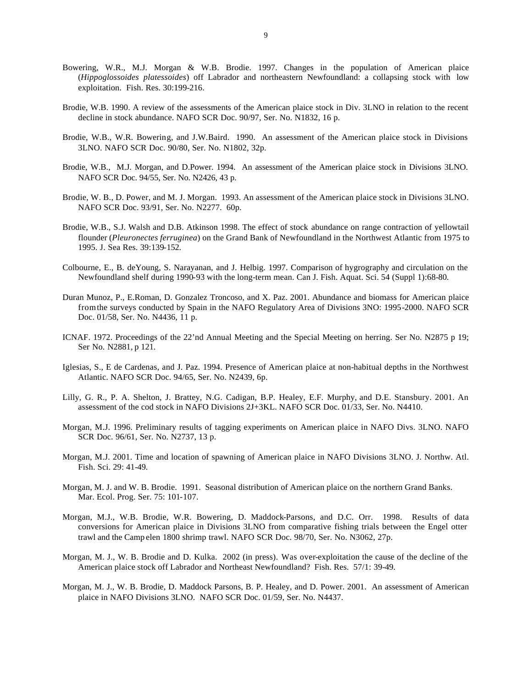- Bowering, W.R., M.J. Morgan & W.B. Brodie. 1997. Changes in the population of American plaice (*Hippoglossoides platessoides*) off Labrador and northeastern Newfoundland: a collapsing stock with low exploitation. Fish. Res. 30:199-216.
- Brodie, W.B. 1990. A review of the assessments of the American plaice stock in Div. 3LNO in relation to the recent decline in stock abundance. NAFO SCR Doc. 90/97, Ser. No. N1832, 16 p.
- Brodie, W.B., W.R. Bowering, and J.W.Baird. 1990. An assessment of the American plaice stock in Divisions 3LNO. NAFO SCR Doc. 90/80, Ser. No. N1802, 32p.
- Brodie, W.B., M.J. Morgan, and D.Power. 1994. An assessment of the American plaice stock in Divisions 3LNO. NAFO SCR Doc. 94/55, Ser. No. N2426, 43 p.
- Brodie, W. B., D. Power, and M. J. Morgan. 1993. An assessment of the American plaice stock in Divisions 3LNO. NAFO SCR Doc. 93/91, Ser. No. N2277. 60p.
- Brodie, W.B., S.J. Walsh and D.B. Atkinson 1998. The effect of stock abundance on range contraction of yellowtail flounder (*Pleuronectes ferruginea*) on the Grand Bank of Newfoundland in the Northwest Atlantic from 1975 to 1995. J. Sea Res. 39:139-152.
- Colbourne, E., B. deYoung, S. Narayanan, and J. Helbig. 1997. Comparison of hygrography and circulation on the Newfoundland shelf during 1990-93 with the long-term mean. Can J. Fish. Aquat. Sci. 54 (Suppl 1):68-80.
- Duran Munoz, P., E.Roman, D. Gonzalez Troncoso, and X. Paz. 2001. Abundance and biomass for American plaice from the surveys conducted by Spain in the NAFO Regulatory Area of Divisions 3NO: 1995-2000. NAFO SCR Doc. 01/58, Ser. No. N4436, 11 p.
- ICNAF. 1972. Proceedings of the 22'nd Annual Meeting and the Special Meeting on herring. Ser No. N2875 p 19; Ser No. N2881, p 121.
- Iglesias, S., E de Cardenas, and J. Paz. 1994. Presence of American plaice at non-habitual depths in the Northwest Atlantic. NAFO SCR Doc. 94/65, Ser. No. N2439, 6p.
- Lilly, G. R., P. A. Shelton, J. Brattey, N.G. Cadigan, B.P. Healey, E.F. Murphy, and D.E. Stansbury. 2001. An assessment of the cod stock in NAFO Divisions 2J+3KL. NAFO SCR Doc. 01/33, Ser. No. N4410.
- Morgan, M.J. 1996. Preliminary results of tagging experiments on American plaice in NAFO Divs. 3LNO. NAFO SCR Doc. 96/61, Ser. No. N2737, 13 p.
- Morgan, M.J. 2001. Time and location of spawning of American plaice in NAFO Divisions 3LNO. J. Northw. Atl. Fish. Sci. 29: 41-49.
- Morgan, M. J. and W. B. Brodie. 1991. Seasonal distribution of American plaice on the northern Grand Banks. Mar. Ecol. Prog. Ser. 75: 101-107.
- Morgan, M.J., W.B. Brodie, W.R. Bowering, D. Maddock-Parsons, and D.C. Orr. 1998. Results of data conversions for American plaice in Divisions 3LNO from comparative fishing trials between the Engel otter trawl and the Camp elen 1800 shrimp trawl. NAFO SCR Doc. 98/70, Ser. No. N3062, 27p.
- Morgan, M. J., W. B. Brodie and D. Kulka. 2002 (in press). Was over-exploitation the cause of the decline of the American plaice stock off Labrador and Northeast Newfoundland? Fish. Res. 57/1: 39-49.
- Morgan, M. J., W. B. Brodie, D. Maddock Parsons, B. P. Healey, and D. Power. 2001. An assessment of American plaice in NAFO Divisions 3LNO. NAFO SCR Doc. 01/59, Ser. No. N4437.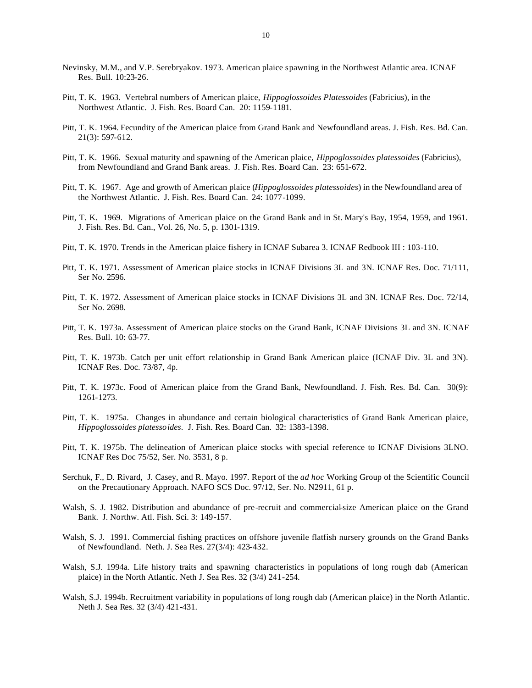- Nevinsky, M.M., and V.P. Serebryakov. 1973. American plaice spawning in the Northwest Atlantic area. ICNAF Res. Bull. 10:23-26.
- Pitt, T. K. 1963. Vertebral numbers of American plaice, *Hippoglossoides Platessoides* (Fabricius), in the Northwest Atlantic. J. Fish. Res. Board Can. 20: 1159-1181.
- Pitt, T. K. 1964. Fecundity of the American plaice from Grand Bank and Newfoundland areas. J. Fish. Res. Bd. Can. 21(3): 597-612.
- Pitt, T. K. 1966. Sexual maturity and spawning of the American plaice, *Hippoglossoides platessoides* (Fabricius), from Newfoundland and Grand Bank areas. J. Fish. Res. Board Can. 23: 651-672.
- Pitt, T. K. 1967. Age and growth of American plaice (*Hippoglossoides platessoides*) in the Newfoundland area of the Northwest Atlantic. J. Fish. Res. Board Can. 24: 1077-1099.
- Pitt, T. K. 1969. Migrations of American plaice on the Grand Bank and in St. Mary's Bay, 1954, 1959, and 1961. J. Fish. Res. Bd. Can., Vol. 26, No. 5, p. 1301-1319.
- Pitt, T. K. 1970. Trends in the American plaice fishery in ICNAF Subarea 3. ICNAF Redbook III : 103-110.
- Pitt, T. K. 1971. Assessment of American plaice stocks in ICNAF Divisions 3L and 3N. ICNAF Res. Doc. 71/111, Ser No. 2596.
- Pitt, T. K. 1972. Assessment of American plaice stocks in ICNAF Divisions 3L and 3N. ICNAF Res. Doc. 72/14, Ser No. 2698.
- Pitt, T. K. 1973a. Assessment of American plaice stocks on the Grand Bank, ICNAF Divisions 3L and 3N. ICNAF Res. Bull. 10: 63-77.
- Pitt, T. K. 1973b. Catch per unit effort relationship in Grand Bank American plaice (ICNAF Div. 3L and 3N). ICNAF Res. Doc. 73/87, 4p.
- Pitt, T. K. 1973c. Food of American plaice from the Grand Bank, Newfoundland. J. Fish. Res. Bd. Can. 30(9): 1261-1273.
- Pitt, T. K. 1975a. Changes in abundance and certain biological characteristics of Grand Bank American plaice, *Hippoglossoides platessoides*. J. Fish. Res. Board Can. 32: 1383-1398.
- Pitt, T. K. 1975b. The delineation of American plaice stocks with special reference to ICNAF Divisions 3LNO. ICNAF Res Doc 75/52, Ser. No. 3531, 8 p.
- Serchuk, F., D. Rivard, J. Casey, and R. Mayo. 1997. Report of the *ad hoc* Working Group of the Scientific Council on the Precautionary Approach. NAFO SCS Doc. 97/12, Ser. No. N2911, 61 p.
- Walsh, S. J. 1982. Distribution and abundance of pre-recruit and commercial-size American plaice on the Grand Bank. J. Northw. Atl. Fish. Sci. 3: 149-157.
- Walsh, S. J. 1991. Commercial fishing practices on offshore juvenile flatfish nursery grounds on the Grand Banks of Newfoundland. Neth. J. Sea Res. 27(3/4): 423-432.
- Walsh, S.J. 1994a. Life history traits and spawning characteristics in populations of long rough dab (American plaice) in the North Atlantic. Neth J. Sea Res. 32 (3/4) 241-254.
- Walsh, S.J. 1994b. Recruitment variability in populations of long rough dab (American plaice) in the North Atlantic. Neth J. Sea Res. 32 (3/4) 421-431.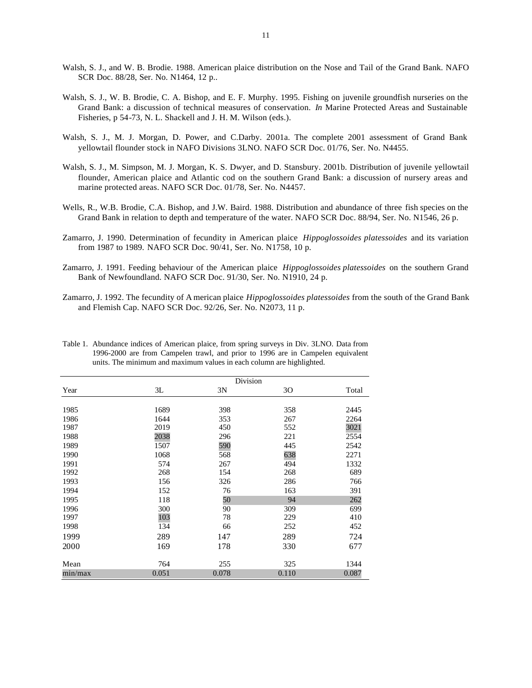- Walsh, S. J., and W. B. Brodie. 1988. American plaice distribution on the Nose and Tail of the Grand Bank. NAFO SCR Doc. 88/28, Ser. No. N1464, 12 p..
- Walsh, S. J., W. B. Brodie, C. A. Bishop, and E. F. Murphy. 1995. Fishing on juvenile groundfish nurseries on the Grand Bank: a discussion of technical measures of conservation. *In* Marine Protected Areas and Sustainable Fisheries, p 54-73, N. L. Shackell and J. H. M. Wilson (eds.).
- Walsh, S. J., M. J. Morgan, D. Power, and C.Darby. 2001a. The complete 2001 assessment of Grand Bank yellowtail flounder stock in NAFO Divisions 3LNO. NAFO SCR Doc. 01/76, Ser. No. N4455.
- Walsh, S. J., M. Simpson, M. J. Morgan, K. S. Dwyer, and D. Stansbury. 2001b. Distribution of juvenile yellowtail flounder, American plaice and Atlantic cod on the southern Grand Bank: a discussion of nursery areas and marine protected areas. NAFO SCR Doc. 01/78, Ser. No. N4457.
- Wells, R., W.B. Brodie, C.A. Bishop, and J.W. Baird. 1988. Distribution and abundance of three fish species on the Grand Bank in relation to depth and temperature of the water. NAFO SCR Doc. 88/94, Ser. No. N1546, 26 p.
- Zamarro, J. 1990. Determination of fecundity in American plaice *Hippoglossoides platessoides* and its variation from 1987 to 1989. NAFO SCR Doc. 90/41, Ser. No. N1758, 10 p.
- Zamarro, J. 1991. Feeding behaviour of the American plaice *Hippoglossoides platessoides* on the southern Grand Bank of Newfoundland. NAFO SCR Doc. 91/30, Ser. No. N1910, 24 p.
- Zamarro, J. 1992. The fecundity of A merican plaice *Hippoglossoides platessoides* from the south of the Grand Bank and Flemish Cap. NAFO SCR Doc. 92/26, Ser. No. N2073, 11 p.

|         | Division |       |       |       |
|---------|----------|-------|-------|-------|
| Year    | 3L       | 3N    | 30    | Total |
|         |          |       |       |       |
| 1985    | 1689     | 398   | 358   | 2445  |
| 1986    | 1644     | 353   | 267   | 2264  |
| 1987    | 2019     | 450   | 552   | 3021  |
| 1988    | 2038     | 296   | 221   | 2554  |
| 1989    | 1507     | 590   | 445   | 2542  |
| 1990    | 1068     | 568   | 638   | 2271  |
| 1991    | 574      | 267   | 494   | 1332  |
| 1992    | 268      | 154   | 268   | 689   |
| 1993    | 156      | 326   | 286   | 766   |
| 1994    | 152      | 76    | 163   | 391   |
| 1995    | 118      | 50    | 94    | 262   |
| 1996    | 300      | 90    | 309   | 699   |
| 1997    | 103      | 78    | 229   | 410   |
| 1998    | 134      | 66    | 252   | 452   |
| 1999    | 289      | 147   | 289   | 724   |
| 2000    | 169      | 178   | 330   | 677   |
| Mean    | 764      | 255   | 325   | 1344  |
| min/max | 0.051    | 0.078 | 0.110 | 0.087 |

Table 1. Abundance indices of American plaice, from spring surveys in Div. 3LNO. Data from 1996-2000 are from Campelen trawl, and prior to 1996 are in Campelen equivalent units. The minimum and maximum values in each column are highlighted.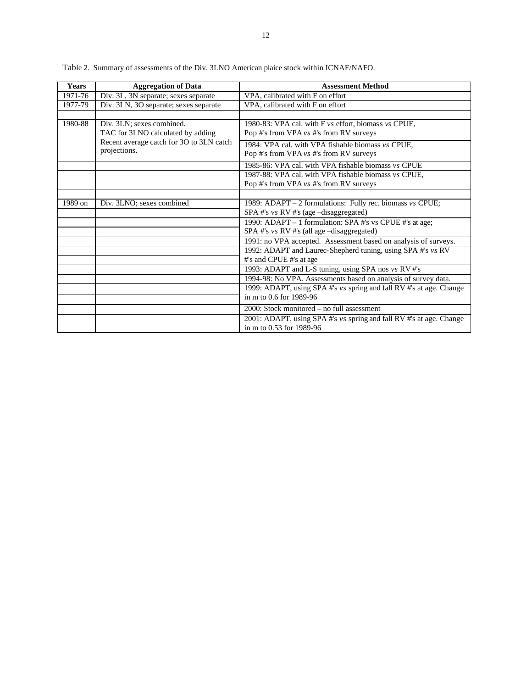| <b>Years</b> | <b>Aggregation of Data</b>               | <b>Assessment Method</b>                                            |
|--------------|------------------------------------------|---------------------------------------------------------------------|
| 1971-76      | Div. 3L, 3N separate; sexes separate     | VPA, calibrated with F on effort                                    |
| 1977-79      | Div. 3LN, 3O separate; sexes separate    | VPA, calibrated with F on effort                                    |
|              |                                          |                                                                     |
| 1980-88      | Div. 3LN; sexes combined.                | 1980-83: VPA cal. with F vs effort, biomass vs CPUE,                |
|              | TAC for 3LNO calculated by adding        | Pop #'s from VPA vs #'s from RV surveys                             |
|              | Recent average catch for 3O to 3LN catch | 1984: VPA cal. with VPA fishable biomass vs CPUE,                   |
|              | projections.                             | Pop #'s from VPA vs #'s from RV surveys                             |
|              |                                          | 1985-86: VPA cal. with VPA fishable biomass vs CPUE                 |
|              |                                          | 1987-88: VPA cal. with VPA fishable biomass vs CPUE,                |
|              |                                          | Pop #'s from VPA $vs$ #'s from RV surveys                           |
|              |                                          |                                                                     |
| 1989 on      | Div. 3LNO; sexes combined                | 1989: ADAPT – 2 formulations: Fully rec. biomass $vs$ CPUE;         |
|              |                                          | SPA #'s vs RV #'s (age -disaggregated)                              |
|              |                                          | 1990: ADAPT – 1 formulation: SPA #'s vs CPUE #'s at age;            |
|              |                                          | SPA #'s vs RV #'s (all age -disaggregated)                          |
|              |                                          | 1991: no VPA accepted. Assessment based on analysis of surveys.     |
|              |                                          | 1992: ADAPT and Laurec-Shepherd tuning, using SPA #'s vs RV         |
|              |                                          | #'s and CPUE #'s at age                                             |
|              |                                          | 1993: ADAPT and L-S tuning, using SPA nos vs RV #'s                 |
|              |                                          | 1994-98: No VPA. Assessments based on analysis of survey data.      |
|              |                                          | 1999: ADAPT, using SPA #'s vs spring and fall RV #'s at age. Change |
|              |                                          | in m to 0.6 for 1989-96                                             |
|              |                                          | $2000$ : Stock monitored – no full assessment                       |
|              |                                          | 2001: ADAPT, using SPA #'s vs spring and fall RV #'s at age. Change |
|              |                                          | in m to 0.53 for 1989-96                                            |

Table 2. Summary of assessments of the Div. 3LNO American plaice stock within ICNAF/NAFO.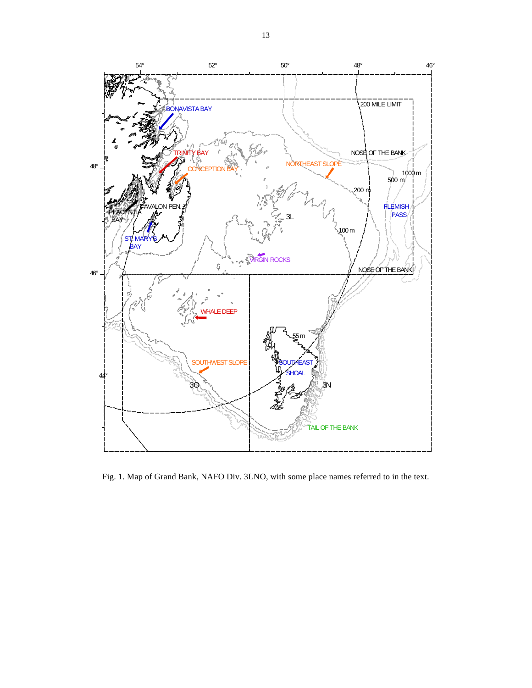

Fig. 1. Map of Grand Bank, NAFO Div. 3LNO, with some place names referred to in the text.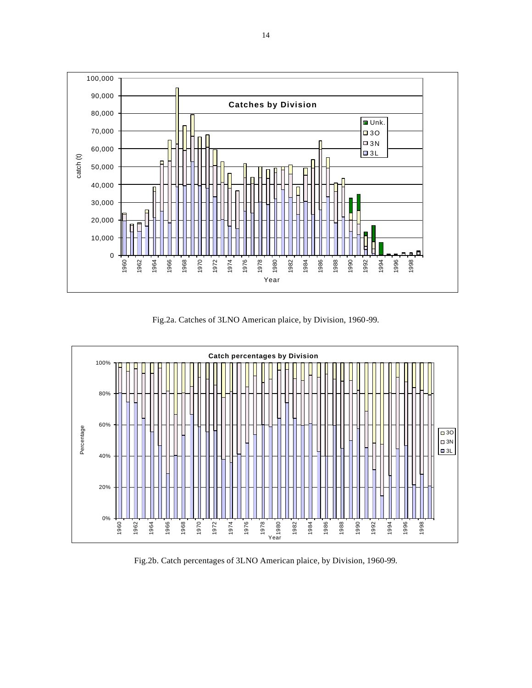

Fig.2a. Catches of 3LNO American plaice, by Division, 1960-99.



Fig.2b. Catch percentages of 3LNO American plaice, by Division, 1960-99.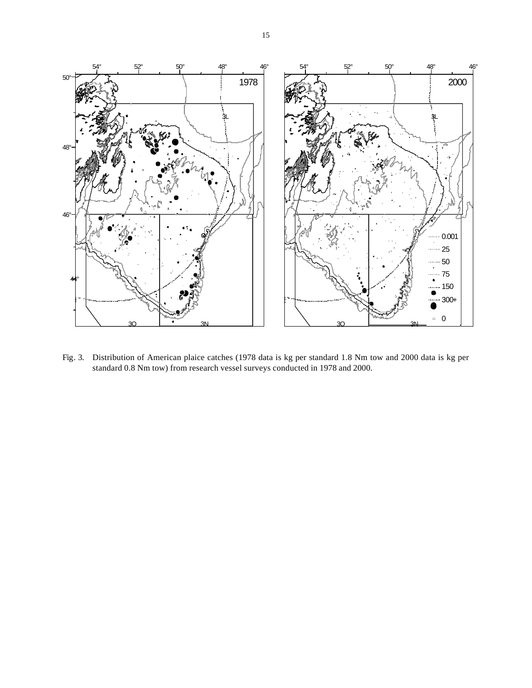

Fig. 3. Distribution of American plaice catches (1978 data is kg per standard 1.8 Nm tow and 2000 data is kg per standard 0.8 Nm tow) from research vessel surveys conducted in 1978 and 2000.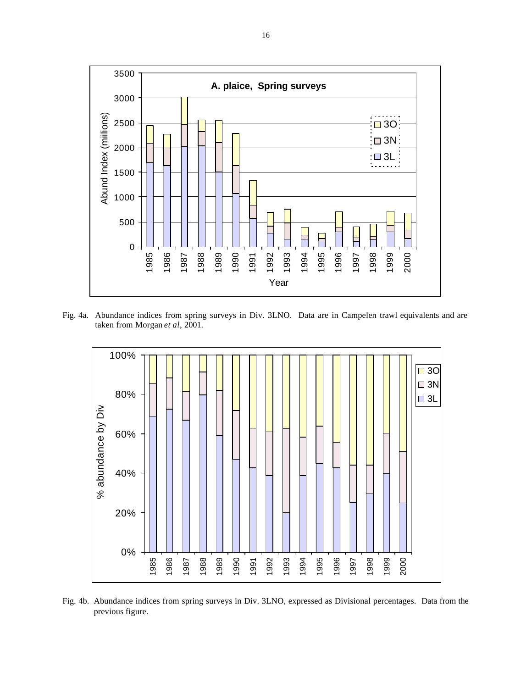

Fig. 4a. Abundance indices from spring surveys in Div. 3LNO. Data are in Campelen trawl equivalents and are taken from Morgan *et al*, 2001.



Fig. 4b. Abundance indices from spring surveys in Div. 3LNO, expressed as Divisional percentages. Data from the previous figure.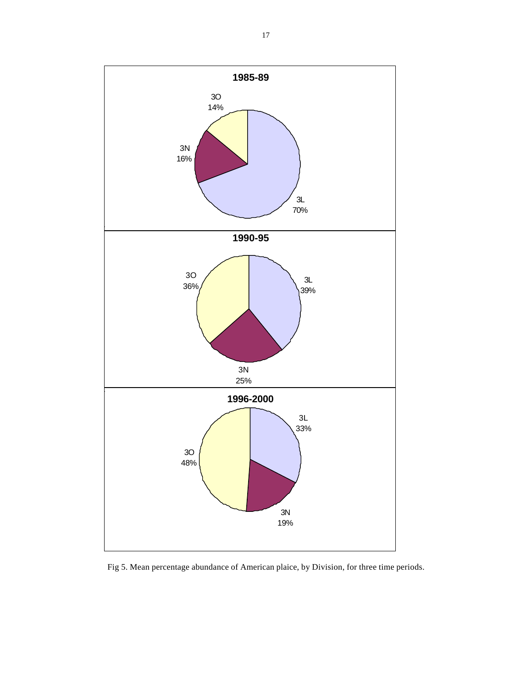

Fig 5. Mean percentage abundance of American plaice, by Division, for three time periods.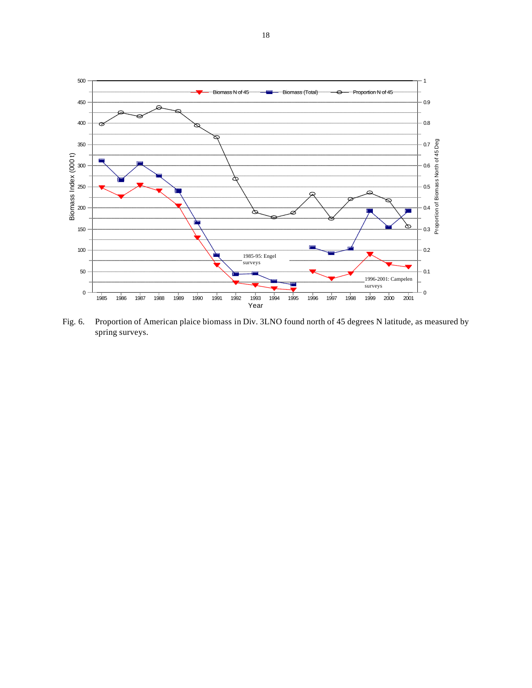

Fig. 6. Proportion of American plaice biomass in Div. 3LNO found north of 45 degrees N latitude, as measured by spring surveys.